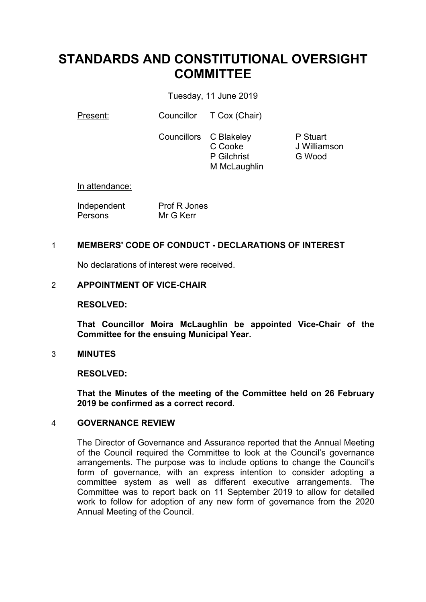# **STANDARDS AND CONSTITUTIONAL OVERSIGHT COMMITTEE**

Tuesday, 11 June 2019

Present: Councillor T Cox (Chair)

Councillors C Blakeley C Cooke P Gilchrist M McLaughlin P Stuart J Williamson G Wood

In attendance:

Independent **Persons** Prof R Jones Mr G Kerr

# 1 **MEMBERS' CODE OF CONDUCT - DECLARATIONS OF INTEREST**

No declarations of interest were received.

#### 2 **APPOINTMENT OF VICE-CHAIR**

#### **RESOLVED:**

**That Councillor Moira McLaughlin be appointed Vice-Chair of the Committee for the ensuing Municipal Year.**

#### 3 **MINUTES**

#### **RESOLVED:**

**That the Minutes of the meeting of the Committee held on 26 February 2019 be confirmed as a correct record.**

#### 4 **GOVERNANCE REVIEW**

The Director of Governance and Assurance reported that the Annual Meeting of the Council required the Committee to look at the Council's governance arrangements. The purpose was to include options to change the Council's form of governance, with an express intention to consider adopting a committee system as well as different executive arrangements. The Committee was to report back on 11 September 2019 to allow for detailed work to follow for adoption of any new form of governance from the 2020 Annual Meeting of the Council.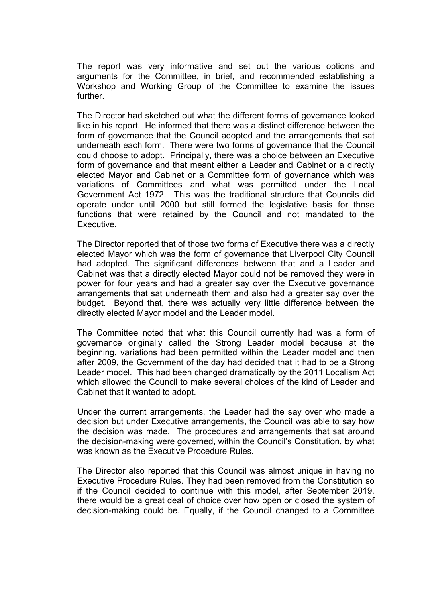The report was very informative and set out the various options and arguments for the Committee, in brief, and recommended establishing a Workshop and Working Group of the Committee to examine the issues further.

The Director had sketched out what the different forms of governance looked like in his report. He informed that there was a distinct difference between the form of governance that the Council adopted and the arrangements that sat underneath each form. There were two forms of governance that the Council could choose to adopt. Principally, there was a choice between an Executive form of governance and that meant either a Leader and Cabinet or a directly elected Mayor and Cabinet or a Committee form of governance which was variations of Committees and what was permitted under the Local Government Act 1972. This was the traditional structure that Councils did operate under until 2000 but still formed the legislative basis for those functions that were retained by the Council and not mandated to the **Executive.** 

The Director reported that of those two forms of Executive there was a directly elected Mayor which was the form of governance that Liverpool City Council had adopted. The significant differences between that and a Leader and Cabinet was that a directly elected Mayor could not be removed they were in power for four years and had a greater say over the Executive governance arrangements that sat underneath them and also had a greater say over the budget. Beyond that, there was actually very little difference between the directly elected Mayor model and the Leader model.

The Committee noted that what this Council currently had was a form of governance originally called the Strong Leader model because at the beginning, variations had been permitted within the Leader model and then after 2009, the Government of the day had decided that it had to be a Strong Leader model. This had been changed dramatically by the 2011 Localism Act which allowed the Council to make several choices of the kind of Leader and Cabinet that it wanted to adopt.

Under the current arrangements, the Leader had the say over who made a decision but under Executive arrangements, the Council was able to say how the decision was made. The procedures and arrangements that sat around the decision-making were governed, within the Council's Constitution, by what was known as the Executive Procedure Rules.

The Director also reported that this Council was almost unique in having no Executive Procedure Rules. They had been removed from the Constitution so if the Council decided to continue with this model, after September 2019, there would be a great deal of choice over how open or closed the system of decision-making could be. Equally, if the Council changed to a Committee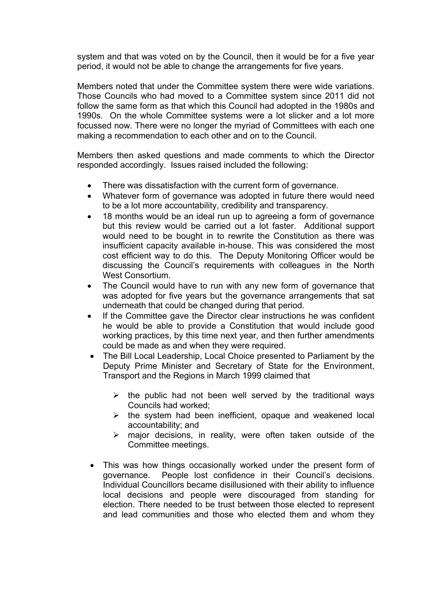system and that was voted on by the Council, then it would be for a five year period, it would not be able to change the arrangements for five years.

Members noted that under the Committee system there were wide variations. Those Councils who had moved to a Committee system since 2011 did not follow the same form as that which this Council had adopted in the 1980s and 1990s. On the whole Committee systems were a lot slicker and a lot more focussed now. There were no longer the myriad of Committees with each one making a recommendation to each other and on to the Council.

Members then asked questions and made comments to which the Director responded accordingly. Issues raised included the following:

- There was dissatisfaction with the current form of governance.
- Whatever form of governance was adopted in future there would need to be a lot more accountability, credibility and transparency.
- 18 months would be an ideal run up to agreeing a form of governance but this review would be carried out a lot faster. Additional support would need to be bought in to rewrite the Constitution as there was insufficient capacity available in-house. This was considered the most cost efficient way to do this. The Deputy Monitoring Officer would be discussing the Council's requirements with colleagues in the North West Consortium.
- The Council would have to run with any new form of governance that was adopted for five years but the governance arrangements that sat underneath that could be changed during that period.
- If the Committee gave the Director clear instructions he was confident he would be able to provide a Constitution that would include good working practices, by this time next year, and then further amendments could be made as and when they were required.
- The Bill Local Leadership, Local Choice presented to Parliament by the Deputy Prime Minister and Secretary of State for the Environment, Transport and the Regions in March 1999 claimed that
	- $\triangleright$  the public had not been well served by the traditional ways Councils had worked;
	- $\triangleright$  the system had been inefficient, opaque and weakened local accountability; and
	- $\triangleright$  major decisions, in reality, were often taken outside of the Committee meetings.
- This was how things occasionally worked under the present form of governance. People lost confidence in their Council's decisions. Individual Councillors became disillusioned with their ability to influence local decisions and people were discouraged from standing for election. There needed to be trust between those elected to represent and lead communities and those who elected them and whom they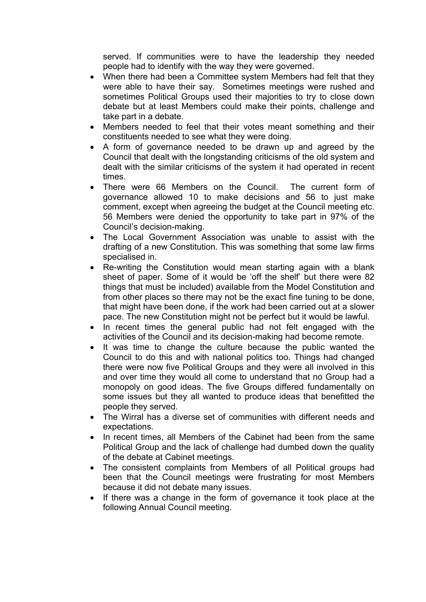served. If communities were to have the leadership they needed people had to identify with the way they were governed.

- When there had been a Committee system Members had felt that they were able to have their say. Sometimes meetings were rushed and sometimes Political Groups used their majorities to try to close down debate but at least Members could make their points, challenge and take part in a debate.
- Members needed to feel that their votes meant something and their constituents needed to see what they were doing.
- A form of governance needed to be drawn up and agreed by the Council that dealt with the longstanding criticisms of the old system and dealt with the similar criticisms of the system it had operated in recent times.
- There were 66 Members on the Council. The current form of governance allowed 10 to make decisions and 56 to just make comment, except when agreeing the budget at the Council meeting etc. 56 Members were denied the opportunity to take part in 97% of the Council's decision-making.
- The Local Government Association was unable to assist with the drafting of a new Constitution. This was something that some law firms specialised in.
- Re-writing the Constitution would mean starting again with a blank sheet of paper. Some of it would be 'off the shelf' but there were 82 things that must be included) available from the Model Constitution and from other places so there may not be the exact fine tuning to be done, that might have been done, if the work had been carried out at a slower pace. The new Constitution might not be perfect but it would be lawful.
- In recent times the general public had not felt engaged with the activities of the Council and its decision-making had become remote.
- It was time to change the culture because the public wanted the Council to do this and with national politics too. Things had changed there were now five Political Groups and they were all involved in this and over time they would all come to understand that no Group had a monopoly on good ideas. The five Groups differed fundamentally on some issues but they all wanted to produce ideas that benefitted the people they served.
- The Wirral has a diverse set of communities with different needs and expectations.
- In recent times, all Members of the Cabinet had been from the same Political Group and the lack of challenge had dumbed down the quality of the debate at Cabinet meetings.
- The consistent complaints from Members of all Political groups had been that the Council meetings were frustrating for most Members because it did not debate many issues.
- If there was a change in the form of governance it took place at the following Annual Council meeting.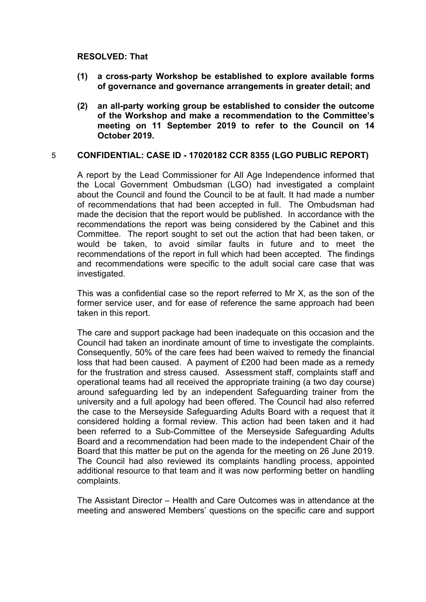# **RESOLVED: That**

- **(1) a cross-party Workshop be established to explore available forms of governance and governance arrangements in greater detail; and**
- **(2) an all-party working group be established to consider the outcome of the Workshop and make a recommendation to the Committee's meeting on 11 September 2019 to refer to the Council on 14 October 2019.**

# 5 **CONFIDENTIAL: CASE ID - 17020182 CCR 8355 (LGO PUBLIC REPORT)**

A report by the Lead Commissioner for All Age Independence informed that the Local Government Ombudsman (LGO) had investigated a complaint about the Council and found the Council to be at fault. It had made a number of recommendations that had been accepted in full. The Ombudsman had made the decision that the report would be published. In accordance with the recommendations the report was being considered by the Cabinet and this Committee. The report sought to set out the action that had been taken, or would be taken, to avoid similar faults in future and to meet the recommendations of the report in full which had been accepted. The findings and recommendations were specific to the adult social care case that was investigated.

This was a confidential case so the report referred to Mr X, as the son of the former service user, and for ease of reference the same approach had been taken in this report.

The care and support package had been inadequate on this occasion and the Council had taken an inordinate amount of time to investigate the complaints. Consequently, 50% of the care fees had been waived to remedy the financial loss that had been caused. A payment of £200 had been made as a remedy for the frustration and stress caused. Assessment staff, complaints staff and operational teams had all received the appropriate training (a two day course) around safeguarding led by an independent Safeguarding trainer from the university and a full apology had been offered. The Council had also referred the case to the Merseyside Safeguarding Adults Board with a request that it considered holding a formal review. This action had been taken and it had been referred to a Sub-Committee of the Merseyside Safeguarding Adults Board and a recommendation had been made to the independent Chair of the Board that this matter be put on the agenda for the meeting on 26 June 2019. The Council had also reviewed its complaints handling process, appointed additional resource to that team and it was now performing better on handling complaints.

The Assistant Director – Health and Care Outcomes was in attendance at the meeting and answered Members' questions on the specific care and support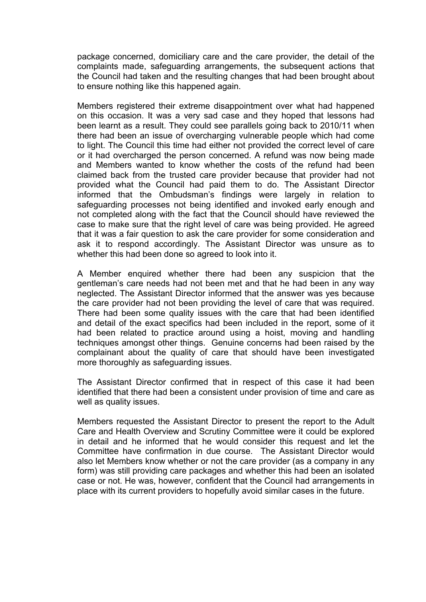package concerned, domiciliary care and the care provider, the detail of the complaints made, safeguarding arrangements, the subsequent actions that the Council had taken and the resulting changes that had been brought about to ensure nothing like this happened again.

Members registered their extreme disappointment over what had happened on this occasion. It was a very sad case and they hoped that lessons had been learnt as a result. They could see parallels going back to 2010/11 when there had been an issue of overcharging vulnerable people which had come to light. The Council this time had either not provided the correct level of care or it had overcharged the person concerned. A refund was now being made and Members wanted to know whether the costs of the refund had been claimed back from the trusted care provider because that provider had not provided what the Council had paid them to do. The Assistant Director informed that the Ombudsman's findings were largely in relation to safeguarding processes not being identified and invoked early enough and not completed along with the fact that the Council should have reviewed the case to make sure that the right level of care was being provided. He agreed that it was a fair question to ask the care provider for some consideration and ask it to respond accordingly. The Assistant Director was unsure as to whether this had been done so agreed to look into it.

A Member enquired whether there had been any suspicion that the gentleman's care needs had not been met and that he had been in any way neglected. The Assistant Director informed that the answer was yes because the care provider had not been providing the level of care that was required. There had been some quality issues with the care that had been identified and detail of the exact specifics had been included in the report, some of it had been related to practice around using a hoist, moving and handling techniques amongst other things. Genuine concerns had been raised by the complainant about the quality of care that should have been investigated more thoroughly as safeguarding issues.

The Assistant Director confirmed that in respect of this case it had been identified that there had been a consistent under provision of time and care as well as quality issues.

Members requested the Assistant Director to present the report to the Adult Care and Health Overview and Scrutiny Committee were it could be explored in detail and he informed that he would consider this request and let the Committee have confirmation in due course. The Assistant Director would also let Members know whether or not the care provider (as a company in any form) was still providing care packages and whether this had been an isolated case or not. He was, however, confident that the Council had arrangements in place with its current providers to hopefully avoid similar cases in the future.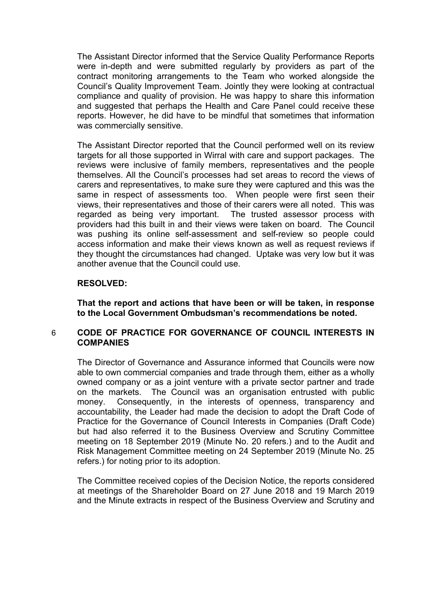The Assistant Director informed that the Service Quality Performance Reports were in-depth and were submitted regularly by providers as part of the contract monitoring arrangements to the Team who worked alongside the Council's Quality Improvement Team. Jointly they were looking at contractual compliance and quality of provision. He was happy to share this information and suggested that perhaps the Health and Care Panel could receive these reports. However, he did have to be mindful that sometimes that information was commercially sensitive.

The Assistant Director reported that the Council performed well on its review targets for all those supported in Wirral with care and support packages. The reviews were inclusive of family members, representatives and the people themselves. All the Council's processes had set areas to record the views of carers and representatives, to make sure they were captured and this was the same in respect of assessments too. When people were first seen their views, their representatives and those of their carers were all noted. This was regarded as being very important. The trusted assessor process with providers had this built in and their views were taken on board. The Council was pushing its online self-assessment and self-review so people could access information and make their views known as well as request reviews if they thought the circumstances had changed. Uptake was very low but it was another avenue that the Council could use.

# **RESOLVED:**

**That the report and actions that have been or will be taken, in response to the Local Government Ombudsman's recommendations be noted.**

# 6 **CODE OF PRACTICE FOR GOVERNANCE OF COUNCIL INTERESTS IN COMPANIES**

The Director of Governance and Assurance informed that Councils were now able to own commercial companies and trade through them, either as a wholly owned company or as a joint venture with a private sector partner and trade on the markets. The Council was an organisation entrusted with public money. Consequently, in the interests of openness, transparency and accountability, the Leader had made the decision to adopt the Draft Code of Practice for the Governance of Council Interests in Companies (Draft Code) but had also referred it to the Business Overview and Scrutiny Committee meeting on 18 September 2019 (Minute No. 20 refers.) and to the Audit and Risk Management Committee meeting on 24 September 2019 (Minute No. 25 refers.) for noting prior to its adoption.

The Committee received copies of the Decision Notice, the reports considered at meetings of the Shareholder Board on 27 June 2018 and 19 March 2019 and the Minute extracts in respect of the Business Overview and Scrutiny and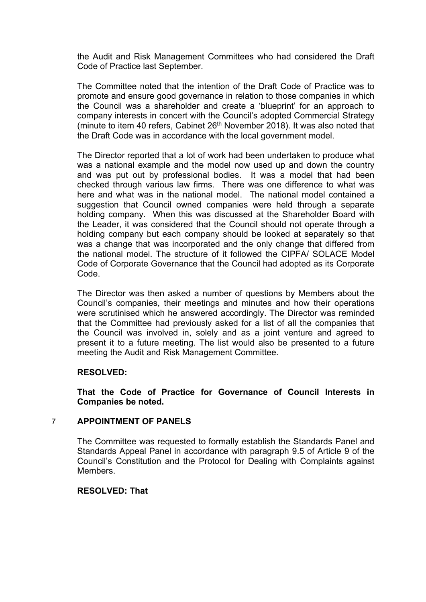the Audit and Risk Management Committees who had considered the Draft Code of Practice last September.

The Committee noted that the intention of the Draft Code of Practice was to promote and ensure good governance in relation to those companies in which the Council was a shareholder and create a 'blueprint' for an approach to company interests in concert with the Council's adopted Commercial Strategy (minute to item 40 refers, Cabinet 26<sup>th</sup> November 2018). It was also noted that the Draft Code was in accordance with the local government model.

The Director reported that a lot of work had been undertaken to produce what was a national example and the model now used up and down the country and was put out by professional bodies. It was a model that had been checked through various law firms. There was one difference to what was here and what was in the national model. The national model contained a suggestion that Council owned companies were held through a separate holding company. When this was discussed at the Shareholder Board with the Leader, it was considered that the Council should not operate through a holding company but each company should be looked at separately so that was a change that was incorporated and the only change that differed from the national model. The structure of it followed the CIPFA/ SOLACE Model Code of Corporate Governance that the Council had adopted as its Corporate Code.

The Director was then asked a number of questions by Members about the Council's companies, their meetings and minutes and how their operations were scrutinised which he answered accordingly. The Director was reminded that the Committee had previously asked for a list of all the companies that the Council was involved in, solely and as a joint venture and agreed to present it to a future meeting. The list would also be presented to a future meeting the Audit and Risk Management Committee.

# **RESOLVED:**

**That the Code of Practice for Governance of Council Interests in Companies be noted.**

# 7 **APPOINTMENT OF PANELS**

The Committee was requested to formally establish the Standards Panel and Standards Appeal Panel in accordance with paragraph 9.5 of Article 9 of the Council's Constitution and the Protocol for Dealing with Complaints against Members.

#### **RESOLVED: That**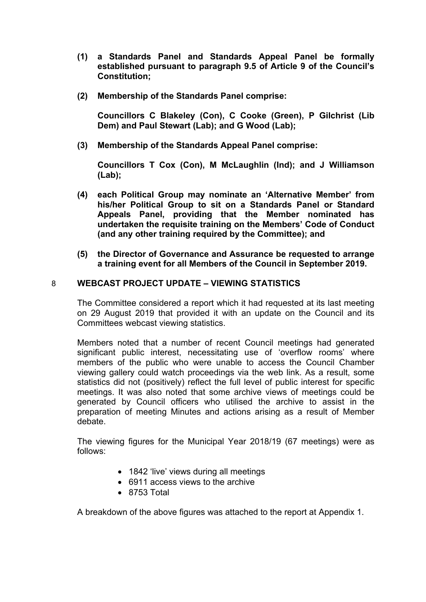- **(1) a Standards Panel and Standards Appeal Panel be formally established pursuant to paragraph 9.5 of Article 9 of the Council's Constitution;**
- **(2) Membership of the Standards Panel comprise:**

**Councillors C Blakeley (Con), C Cooke (Green), P Gilchrist (Lib Dem) and Paul Stewart (Lab); and G Wood (Lab);**

**(3) Membership of the Standards Appeal Panel comprise:**

**Councillors T Cox (Con), M McLaughlin (Ind); and J Williamson (Lab);**

- **(4) each Political Group may nominate an 'Alternative Member' from his/her Political Group to sit on a Standards Panel or Standard Appeals Panel, providing that the Member nominated has undertaken the requisite training on the Members' Code of Conduct (and any other training required by the Committee); and**
- **(5) the Director of Governance and Assurance be requested to arrange a training event for all Members of the Council in September 2019.**

# 8 **WEBCAST PROJECT UPDATE – VIEWING STATISTICS**

The Committee considered a report which it had requested at its last meeting on 29 August 2019 that provided it with an update on the Council and its Committees webcast viewing statistics.

Members noted that a number of recent Council meetings had generated significant public interest, necessitating use of 'overflow rooms' where members of the public who were unable to access the Council Chamber viewing gallery could watch proceedings via the web link. As a result, some statistics did not (positively) reflect the full level of public interest for specific meetings. It was also noted that some archive views of meetings could be generated by Council officers who utilised the archive to assist in the preparation of meeting Minutes and actions arising as a result of Member debate.

The viewing figures for the Municipal Year 2018/19 (67 meetings) were as follows:

- 1842 'live' views during all meetings
- 6911 access views to the archive
- 8753 Total

A breakdown of the above figures was attached to the report at Appendix 1.